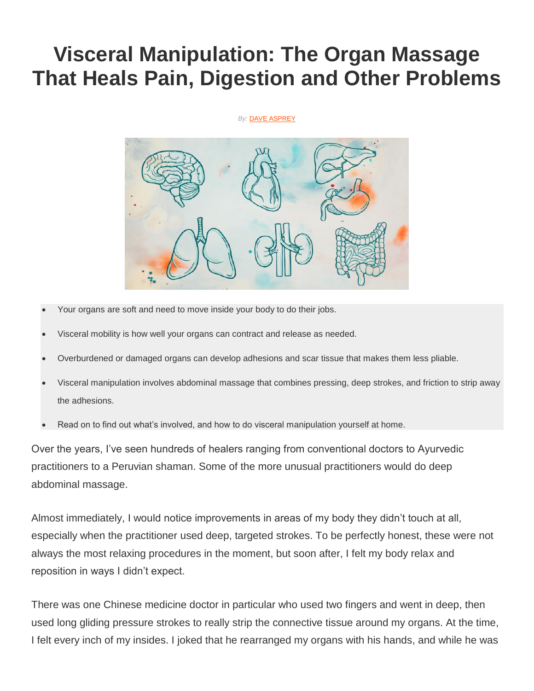# **Visceral Manipulation: The Organ Massage That Heals Pain, Digestion and Other Problems**

#### **By: [DAVE ASPREY](https://blog.bulletproof.com/author/daveasprey/)**



- Your organs are soft and need to move inside your body to do their jobs.
- Visceral mobility is how well your organs can contract and release as needed.
- Overburdened or damaged organs can develop adhesions and scar tissue that makes them less pliable.
- Visceral manipulation involves abdominal massage that combines pressing, deep strokes, and friction to strip away the adhesions.
- Read on to find out what's involved, and how to do visceral manipulation yourself at home.

Over the years, I've seen hundreds of healers ranging from conventional doctors to Ayurvedic practitioners to a Peruvian shaman. Some of the more unusual practitioners would do deep abdominal massage.

Almost immediately, I would notice improvements in areas of my body they didn't touch at all, especially when the practitioner used deep, targeted strokes. To be perfectly honest, these were not always the most relaxing procedures in the moment, but soon after, I felt my body relax and reposition in ways I didn't expect.

There was one Chinese medicine doctor in particular who used two fingers and went in deep, then used long gliding pressure strokes to really strip the connective tissue around my organs. At the time, I felt every inch of my insides. I joked that he rearranged my organs with his hands, and while he was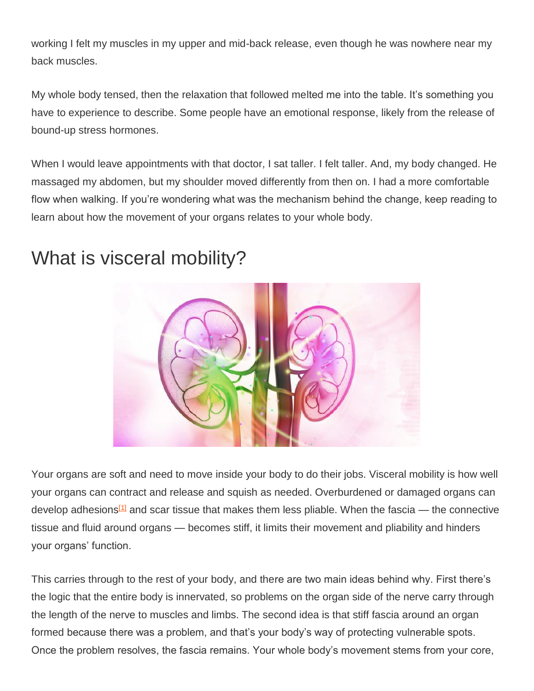working I felt my muscles in my upper and mid-back release, even though he was nowhere near my back muscles.

My whole body tensed, then the relaxation that followed melted me into the table. It's something you have to experience to describe. Some people have an emotional response, likely from the release of bound-up stress hormones.

When I would leave appointments with that doctor, I sat taller. I felt taller. And, my body changed. He massaged my abdomen, but my shoulder moved differently from then on. I had a more comfortable flow when walking. If you're wondering what was the mechanism behind the change, keep reading to learn about how the movement of your organs relates to your whole body.

#### What is visceral mobility?



Your organs are soft and need to move inside your body to do their jobs. Visceral mobility is how well your organs can contract and release and squish as needed. Overburdened or damaged organs can develop adhesions<sup>[\[1\]](https://blog.bulletproof.com/visceral-mobility-manipulation/#ref-1)</sup> and scar tissue that makes them less pliable. When the fascia — the connective tissue and fluid around organs — becomes stiff, it limits their movement and pliability and hinders your organs' function.

This carries through to the rest of your body, and there are two main ideas behind why. First there's the logic that the entire body is innervated, so problems on the organ side of the nerve carry through the length of the nerve to muscles and limbs. The second idea is that stiff fascia around an organ formed because there was a problem, and that's your body's way of protecting vulnerable spots. Once the problem resolves, the fascia remains. Your whole body's movement stems from your core,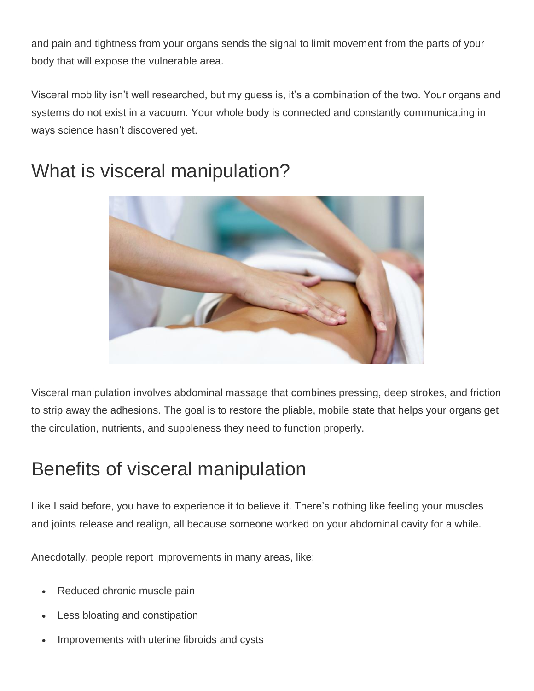and pain and tightness from your organs sends the signal to limit movement from the parts of your body that will expose the vulnerable area.

Visceral mobility isn't well researched, but my guess is, it's a combination of the two. Your organs and systems do not exist in a vacuum. Your whole body is connected and constantly communicating in ways science hasn't discovered yet.



## What is visceral manipulation?

Visceral manipulation involves abdominal massage that combines pressing, deep strokes, and friction to strip away the adhesions. The goal is to restore the pliable, mobile state that helps your organs get the circulation, nutrients, and suppleness they need to function properly.

## Benefits of visceral manipulation

Like I said before, you have to experience it to believe it. There's nothing like feeling your muscles and joints release and realign, all because someone worked on your abdominal cavity for a while.

Anecdotally, people report improvements in many areas, like:

- Reduced chronic muscle pain
- Less bloating and constipation
- Improvements with uterine fibroids and cysts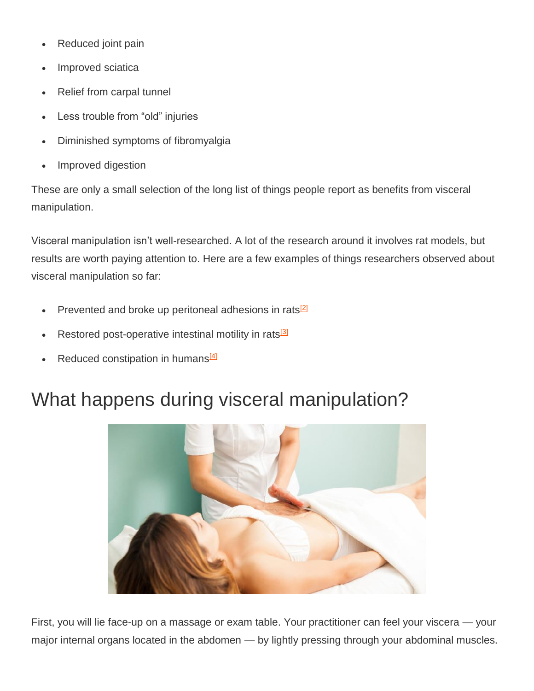- Reduced joint pain
- Improved sciatica
- Relief from carpal tunnel
- Less trouble from "old" injuries
- Diminished symptoms of fibromyalgia
- Improved digestion

These are only a small selection of the long list of things people report as benefits from visceral manipulation.

Visceral manipulation isn't well-researched. A lot of the research around it involves rat models, but results are worth paying attention to. Here are a few examples of things researchers observed about visceral manipulation so far:

- Prevented and broke up peritoneal adhesions in rats<sup>[\[2\]](https://blog.bulletproof.com/visceral-mobility-manipulation/#ref-2)</sup>
- Restored post-operative intestinal motility in rats<sup>[\[3\]](https://blog.bulletproof.com/visceral-mobility-manipulation/#ref-3)</sup>
- Reduced constipation in humans<sup>[\[4\]](https://blog.bulletproof.com/visceral-mobility-manipulation/#ref-4)</sup>

### What happens during visceral manipulation?



First, you will lie face-up on a massage or exam table. Your practitioner can feel your viscera — your major internal organs located in the abdomen — by lightly pressing through your abdominal muscles.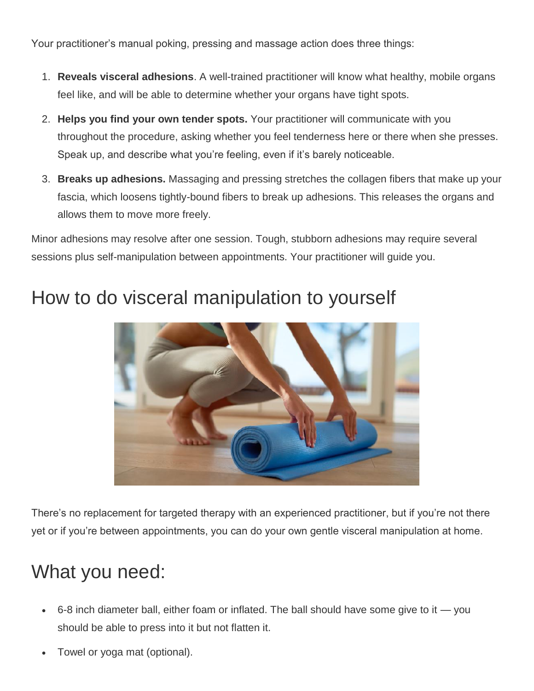Your practitioner's manual poking, pressing and massage action does three things:

- 1. **Reveals visceral adhesions**. A well-trained practitioner will know what healthy, mobile organs feel like, and will be able to determine whether your organs have tight spots.
- 2. **Helps you find your own tender spots.** Your practitioner will communicate with you throughout the procedure, asking whether you feel tenderness here or there when she presses. Speak up, and describe what you're feeling, even if it's barely noticeable.
- 3. **Breaks up adhesions.** Massaging and pressing stretches the collagen fibers that make up your fascia, which loosens tightly-bound fibers to break up adhesions. This releases the organs and allows them to move more freely.

Minor adhesions may resolve after one session. Tough, stubborn adhesions may require several sessions plus self-manipulation between appointments. Your practitioner will guide you.



#### How to do visceral manipulation to yourself

There's no replacement for targeted therapy with an experienced practitioner, but if you're not there yet or if you're between appointments, you can do your own gentle visceral manipulation at home.

## What you need:

- 6-8 inch diameter ball, either foam or inflated. The ball should have some give to it you should be able to press into it but not flatten it.
- Towel or yoga mat (optional).